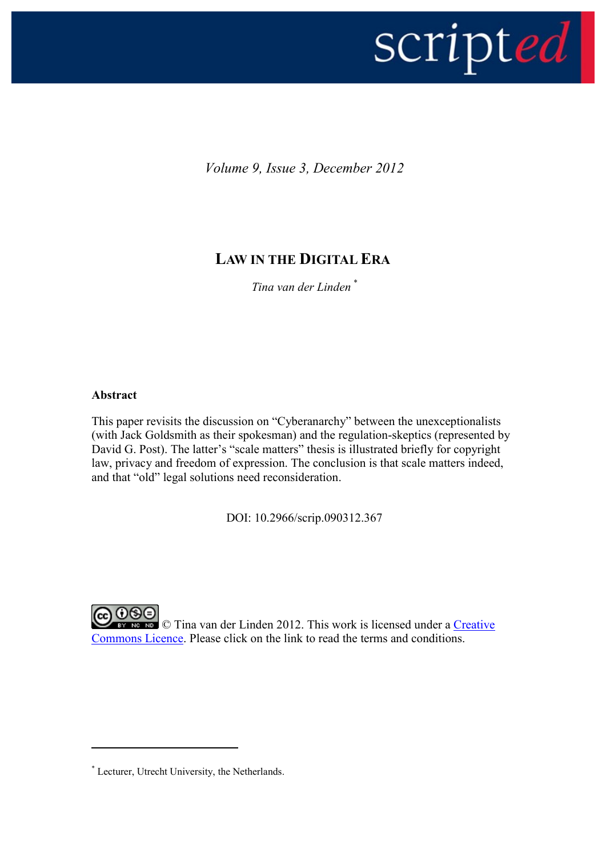

*Volume 9, Issue 3, December 2012*

# **LAW IN THE DIGITAL ERA**

*Tina van der Linden \**

# **Abstract**

1

This paper revisits the discussion on "Cyberanarchy" between the unexceptionalists (with Jack Goldsmith as their spokesman) and the regulation-skeptics (represented by David G. Post). The latter's "scale matters" thesis is illustrated briefly for copyright law, privacy and freedom of expression. The conclusion is that scale matters indeed, and that "old" legal solutions need reconsideration.

DOI: 10.2966/scrip.090312.367

**@0® EY NG NG** © Tina van der Linden 2012. This work is licensed under a Creative [Commons Licence.](http://creativecommons.org/licenses/by-nc-nd/2.5/scotland/) Please click on the link to read the terms and conditions.

<sup>\*</sup> Lecturer, Utrecht University, the Netherlands.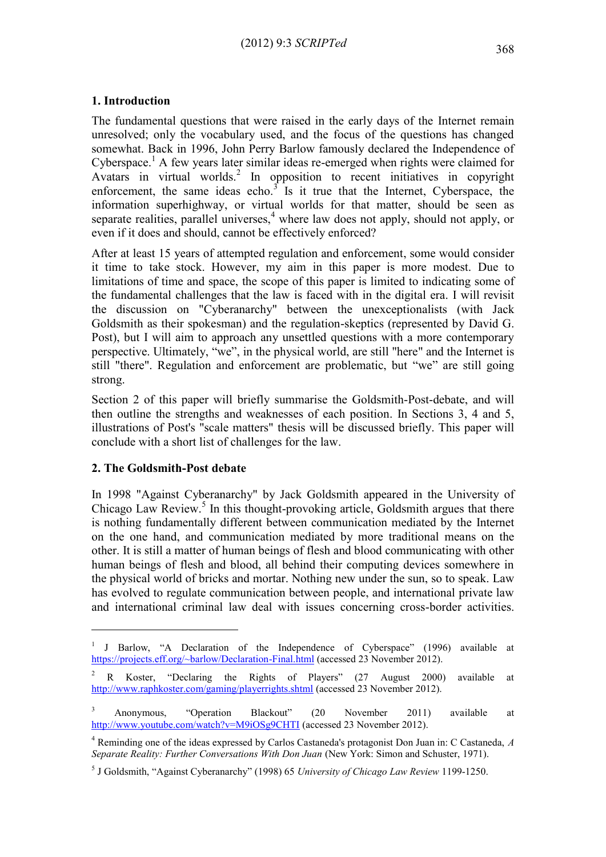# **1. Introduction**

The fundamental questions that were raised in the early days of the Internet remain unresolved; only the vocabulary used, and the focus of the questions has changed somewhat. Back in 1996, John Perry Barlow famously declared the Independence of Cyberspace.<sup>1</sup> A few years later similar ideas re-emerged when rights were claimed for Avatars in virtual worlds.<sup>2</sup> In opposition to recent initiatives in copyright enforcement, the same ideas echo.<sup>3</sup> Is it true that the Internet, Cyberspace, the information superhighway, or virtual worlds for that matter, should be seen as separate realities, parallel universes,  $4$  where law does not apply, should not apply, or even if it does and should, cannot be effectively enforced?

After at least 15 years of attempted regulation and enforcement, some would consider it time to take stock. However, my aim in this paper is more modest. Due to limitations of time and space, the scope of this paper is limited to indicating some of the fundamental challenges that the law is faced with in the digital era. I will revisit the discussion on "Cyberanarchy" between the unexceptionalists (with Jack Goldsmith as their spokesman) and the regulation-skeptics (represented by David G. Post), but I will aim to approach any unsettled questions with a more contemporary perspective. Ultimately, "we", in the physical world, are still "here" and the Internet is still "there". Regulation and enforcement are problematic, but "we" are still going strong.

Section 2 of this paper will briefly summarise the Goldsmith-Post-debate, and will then outline the strengths and weaknesses of each position. In Sections 3, 4 and 5, illustrations of Post's "scale matters" thesis will be discussed briefly. This paper will conclude with a short list of challenges for the law.

#### **2. The Goldsmith-Post debate**

<u>.</u>

In 1998 "Against Cyberanarchy" by Jack Goldsmith appeared in the University of Chicago Law Review.<sup>5</sup> In this thought-provoking article, Goldsmith argues that there is nothing fundamentally different between communication mediated by the Internet on the one hand, and communication mediated by more traditional means on the other. It is still a matter of human beings of flesh and blood communicating with other human beings of flesh and blood, all behind their computing devices somewhere in the physical world of bricks and mortar. Nothing new under the sun, so to speak. Law has evolved to regulate communication between people, and international private law and international criminal law deal with issues concerning cross-border activities.

<sup>1</sup> J Barlow, "A Declaration of the Independence of Cyberspace" (1996) available at <https://projects.eff.org/~barlow/Declaration-Final.html> (accessed 23 November 2012).

<sup>&</sup>lt;sup>2</sup> R Koster, "Declaring the Rights of Players" (27 August 2000) available at <http://www.raphkoster.com/gaming/playerrights.shtml> (accessed 23 November 2012).

<sup>&</sup>lt;sup>3</sup> Anonymous, "Operation Blackout" (20 November 2011) available at <http://www.youtube.com/watch?v=M9iOSg9CHTI> (accessed 23 November 2012).

<sup>4</sup> Reminding one of the ideas expressed by Carlos Castaneda's protagonist Don Juan in: C Castaneda, *A Separate Reality: Further Conversations With Don Juan* (New York: Simon and Schuster, 1971).

<sup>5</sup> J Goldsmith, "Against Cyberanarchy" (1998) 65 *University of Chicago Law Review* 1199-1250.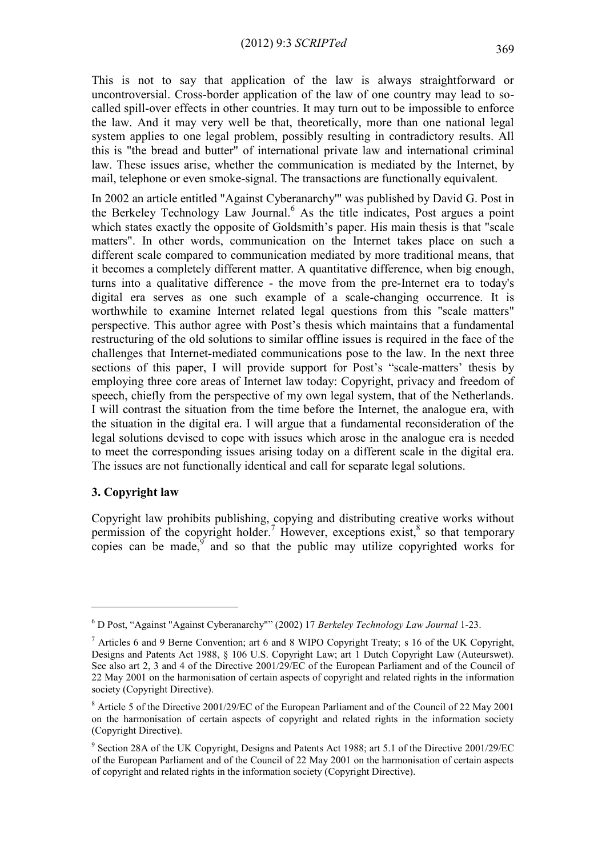This is not to say that application of the law is always straightforward or uncontroversial. Cross-border application of the law of one country may lead to socalled spill-over effects in other countries. It may turn out to be impossible to enforce the law. And it may very well be that, theoretically, more than one national legal system applies to one legal problem, possibly resulting in contradictory results. All this is "the bread and butter" of international private law and international criminal law. These issues arise, whether the communication is mediated by the Internet, by mail, telephone or even smoke-signal. The transactions are functionally equivalent.

In 2002 an article entitled "Against Cyberanarchy'" was published by David G. Post in the Berkeley Technology Law Journal.<sup>6</sup> As the title indicates, Post argues a point which states exactly the opposite of Goldsmith's paper. His main thesis is that "scale matters". In other words, communication on the Internet takes place on such a different scale compared to communication mediated by more traditional means, that it becomes a completely different matter. A quantitative difference, when big enough, turns into a qualitative difference - the move from the pre-Internet era to today's digital era serves as one such example of a scale-changing occurrence. It is worthwhile to examine Internet related legal questions from this "scale matters" perspective. This author agree with Post's thesis which maintains that a fundamental restructuring of the old solutions to similar offline issues is required in the face of the challenges that Internet-mediated communications pose to the law. In the next three sections of this paper, I will provide support for Post's "scale-matters' thesis by employing three core areas of Internet law today: Copyright, privacy and freedom of speech, chiefly from the perspective of my own legal system, that of the Netherlands. I will contrast the situation from the time before the Internet, the analogue era, with the situation in the digital era. I will argue that a fundamental reconsideration of the legal solutions devised to cope with issues which arose in the analogue era is needed to meet the corresponding issues arising today on a different scale in the digital era. The issues are not functionally identical and call for separate legal solutions.

#### **3. Copyright law**

<u>.</u>

Copyright law prohibits publishing, copying and distributing creative works without permission of the copyright holder.<sup>7</sup> However, exceptions exist,  $\frac{8}{3}$  so that temporary copies can be made,  $\int$  and so that the public may utilize copyrighted works for

<sup>6</sup> D Post, "Against "Against Cyberanarchy"" (2002) 17 *Berkeley Technology Law Journal* 1-23.

<sup>7</sup> Articles 6 and 9 Berne Convention; art 6 and 8 WIPO Copyright Treaty; s 16 of the UK Copyright, Designs and Patents Act 1988, § 106 U.S. Copyright Law; art 1 Dutch Copyright Law (Auteurswet). See also art 2, 3 and 4 of the Directive 2001/29/EC of the European Parliament and of the Council of 22 May 2001 on the harmonisation of certain aspects of copyright and related rights in the information society (Copyright Directive).

<sup>8</sup> Article 5 of the Directive 2001/29/EC of the European Parliament and of the Council of 22 May 2001 on the harmonisation of certain aspects of copyright and related rights in the information society (Copyright Directive).

<sup>&</sup>lt;sup>9</sup> Section 28A of the UK Copyright, Designs and Patents Act 1988; art 5.1 of the Directive 2001/29/EC of the European Parliament and of the Council of 22 May 2001 on the harmonisation of certain aspects of copyright and related rights in the information society (Copyright Directive).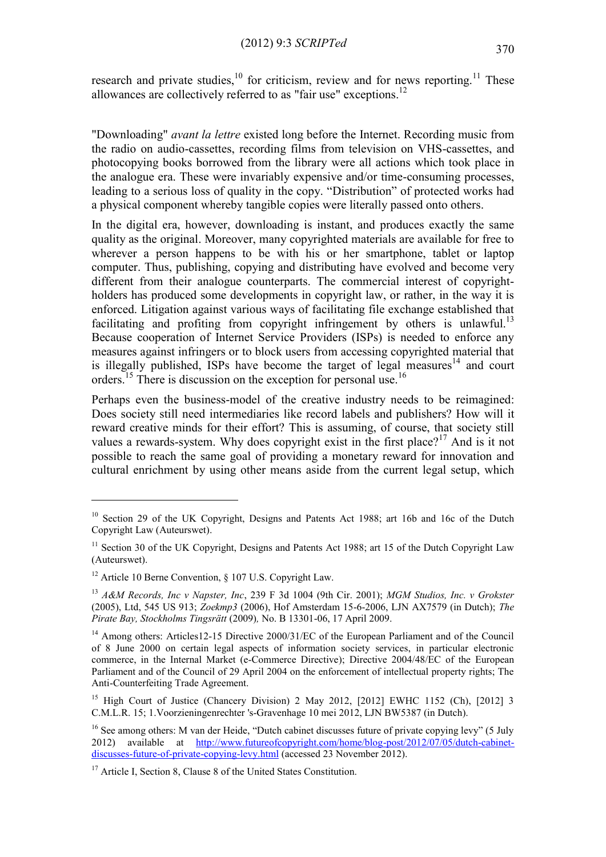research and private studies, $10$  for criticism, review and for news reporting.<sup>11</sup> These allowances are collectively referred to as "fair use" exceptions.<sup>12</sup>

"Downloading" *avant la lettre* existed long before the Internet. Recording music from the radio on audio-cassettes, recording films from television on VHS-cassettes, and photocopying books borrowed from the library were all actions which took place in the analogue era. These were invariably expensive and/or time-consuming processes, leading to a serious loss of quality in the copy. "Distribution" of protected works had a physical component whereby tangible copies were literally passed onto others.

In the digital era, however, downloading is instant, and produces exactly the same quality as the original. Moreover, many copyrighted materials are available for free to wherever a person happens to be with his or her smartphone, tablet or laptop computer. Thus, publishing, copying and distributing have evolved and become very different from their analogue counterparts. The commercial interest of copyrightholders has produced some developments in copyright law, or rather, in the way it is enforced. Litigation against various ways of facilitating file exchange established that facilitating and profiting from copyright infringement by others is unlawful.<sup>13</sup> Because cooperation of Internet Service Providers (ISPs) is needed to enforce any measures against infringers or to block users from accessing copyrighted material that is illegally published. ISPs have become the target of legal measures<sup>14</sup> and court orders.<sup>15</sup> There is discussion on the exception for personal use.<sup>16</sup>

Perhaps even the business-model of the creative industry needs to be reimagined: Does society still need intermediaries like record labels and publishers? How will it reward creative minds for their effort? This is assuming, of course, that society still values a rewards-system. Why does copyright exist in the first place?<sup>17</sup> And is it not possible to reach the same goal of providing a monetary reward for innovation and cultural enrichment by using other means aside from the current legal setup, which

1

<sup>&</sup>lt;sup>10</sup> Section 29 of the UK Copyright, Designs and Patents Act 1988; art 16b and 16c of the Dutch Copyright Law (Auteurswet).

 $11$  Section 30 of the UK Copyright, Designs and Patents Act 1988; art 15 of the Dutch Copyright Law (Auteurswet).

<sup>&</sup>lt;sup>12</sup> Article 10 Berne Convention,  $\S$  107 U.S. Copyright Law.

<sup>13</sup> *A&M Records, Inc v Napster, Inc*, 239 F 3d 1004 (9th Cir. 2001); *MGM Studios, Inc. v Grokster*  (2005), Ltd, 545 US 913; *Zoekmp3* (2006), Hof Amsterdam 15-6-2006, LJN AX7579 (in Dutch); *The Pirate Bay, Stockholms Tingsrätt* (2009)*,* No. B 13301-06, 17 April 2009.

<sup>&</sup>lt;sup>14</sup> Among others: Articles12-15 Directive 2000/31/EC of the European Parliament and of the Council of 8 June 2000 on certain legal aspects of information society services, in particular electronic commerce, in the Internal Market (e-Commerce Directive); Directive 2004/48/EC of the European Parliament and of the Council of 29 April 2004 on the enforcement of intellectual property rights; The Anti-Counterfeiting Trade Agreement.

<sup>&</sup>lt;sup>15</sup> High Court of Justice (Chancery Division) 2 May 2012, [2012] EWHC 1152 (Ch), [2012] 3 C.M.L.R. 15; 1.Voorzieningenrechter 's-Gravenhage 10 mei 2012, LJN BW5387 (in Dutch).

<sup>&</sup>lt;sup>16</sup> See among others: M van der Heide, "Dutch cabinet discusses future of private copying levy" (5 July 2012) available at [http://www.futureofcopyright.com/home/blog-post/2012/07/05/dutch-cabinet](http://www.futureofcopyright.com/home/blog-post/2012/07/05/dutch-cabinet-discusses-future-of-private-copying-levy.html)[discusses-future-of-private-copying-levy.html](http://www.futureofcopyright.com/home/blog-post/2012/07/05/dutch-cabinet-discusses-future-of-private-copying-levy.html) (accessed 23 November 2012).

<sup>&</sup>lt;sup>17</sup> Article I, Section 8, Clause 8 of the United States Constitution.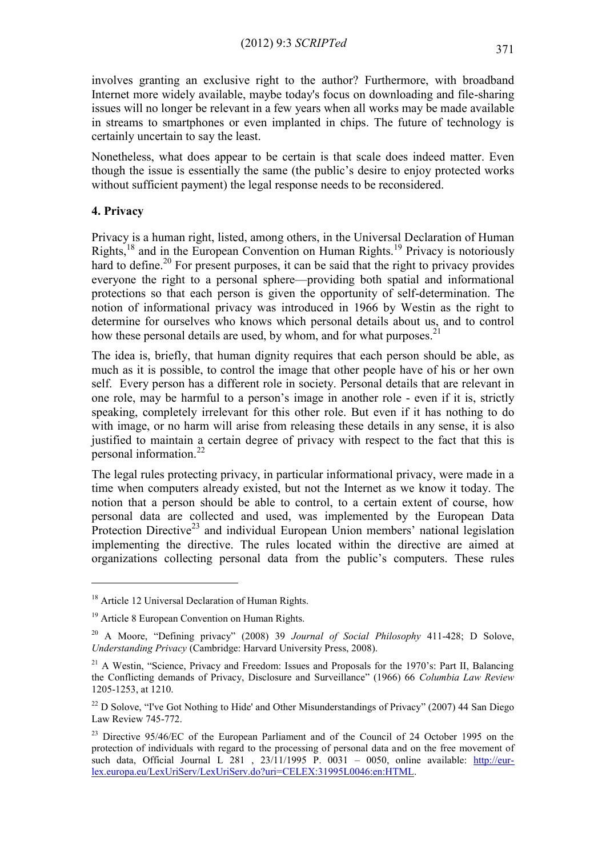involves granting an exclusive right to the author? Furthermore, with broadband Internet more widely available, maybe today's focus on downloading and file-sharing issues will no longer be relevant in a few years when all works may be made available in streams to smartphones or even implanted in chips. The future of technology is certainly uncertain to say the least.

Nonetheless, what does appear to be certain is that scale does indeed matter. Even though the issue is essentially the same (the public's desire to enjoy protected works without sufficient payment) the legal response needs to be reconsidered.

### **4. Privacy**

1

Privacy is a human right, listed, among others, in the Universal Declaration of Human Rights,<sup>18</sup> and in the European Convention on Human Rights.<sup>19</sup> Privacy is notoriously hard to define.<sup>20</sup> For present purposes, it can be said that the right to privacy provides everyone the right to a personal sphere—providing both spatial and informational protections so that each person is given the opportunity of self-determination. The notion of informational privacy was introduced in 1966 by Westin as the right to determine for ourselves who knows which personal details about us, and to control how these personal details are used, by whom, and for what purposes.<sup>21</sup>

The idea is, briefly, that human dignity requires that each person should be able, as much as it is possible, to control the image that other people have of his or her own self. Every person has a different role in society. Personal details that are relevant in one role, may be harmful to a person's image in another role - even if it is, strictly speaking, completely irrelevant for this other role. But even if it has nothing to do with image, or no harm will arise from releasing these details in any sense, it is also justified to maintain a certain degree of privacy with respect to the fact that this is personal information.<sup>22</sup>

The legal rules protecting privacy, in particular informational privacy, were made in a time when computers already existed, but not the Internet as we know it today. The notion that a person should be able to control, to a certain extent of course, how personal data are collected and used, was implemented by the European Data Protection Directive<sup>23</sup> and individual European Union members' national legislation implementing the directive. The rules located within the directive are aimed at organizations collecting personal data from the public's computers. These rules

<sup>&</sup>lt;sup>18</sup> Article 12 Universal Declaration of Human Rights.

<sup>&</sup>lt;sup>19</sup> Article 8 European Convention on Human Rights.

<sup>20</sup> A Moore, "Defining privacy" (2008) 39 *Journal of Social Philosophy* 411-428; D Solove, *Understanding Privacy* (Cambridge: Harvard University Press, 2008).

<sup>&</sup>lt;sup>21</sup> A Westin, "Science, Privacy and Freedom: Issues and Proposals for the 1970's: Part II, Balancing the Conflicting demands of Privacy, Disclosure and Surveillance" (1966) 66 *Columbia Law Review* 1205-1253, at 1210.

 $22$  D Solove, "I've Got Nothing to Hide' and Other Misunderstandings of Privacy" (2007) 44 San Diego Law Review 745-772.

 $23$  Directive 95/46/EC of the European Parliament and of the Council of 24 October 1995 on the protection of individuals with regard to the processing of personal data and on the free movement of such data, Official Journal L 281, 23/11/1995 P. 0031 - 0050, online available:  $\frac{http://eur-17281}{http://eur-17281}$ [lex.europa.eu/LexUriServ/LexUriServ.do?uri=CELEX:31995L0046:en:HTML.](http://eur-lex.europa.eu/LexUriServ/LexUriServ.do?uri=CELEX:31995L0046:en:HTML)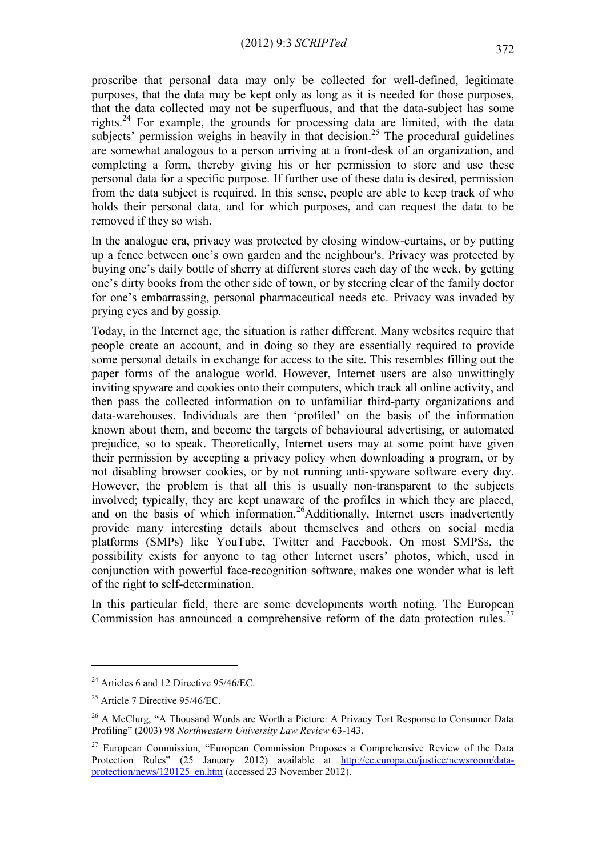proscribe that personal data may only be collected for well-defined, legitimate purposes, that the data may be kept only as long as it is needed for those purposes, that the data collected may not be superfluous, and that the data-subject has some rights. <sup>24</sup> For example, the grounds for processing data are limited, with the data subjects' permission weighs in heavily in that decision.<sup>25</sup> The procedural guidelines are somewhat analogous to a person arriving at a front-desk of an organization, and completing a form, thereby giving his or her permission to store and use these personal data for a specific purpose. If further use of these data is desired, permission from the data subject is required. In this sense, people are able to keep track of who holds their personal data, and for which purposes, and can request the data to be removed if they so wish.

In the analogue era, privacy was protected by closing window-curtains, or by putting up a fence between one's own garden and the neighbour's. Privacy was protected by buying one's daily bottle of sherry at different stores each day of the week, by getting one's dirty books from the other side of town, or by steering clear of the family doctor for one's embarrassing, personal pharmaceutical needs etc. Privacy was invaded by prying eyes and by gossip.

Today, in the Internet age, the situation is rather different. Many websites require that people create an account, and in doing so they are essentially required to provide some personal details in exchange for access to the site. This resembles filling out the paper forms of the analogue world. However, Internet users are also unwittingly inviting spyware and cookies onto their computers, which track all online activity, and then pass the collected information on to unfamiliar third-party organizations and data-warehouses. Individuals are then 'profiled' on the basis of the information known about them, and become the targets of behavioural advertising, or automated prejudice, so to speak. Theoretically, Internet users may at some point have given their permission by accepting a privacy policy when downloading a program, or by not disabling browser cookies, or by not running anti-spyware software every day. However, the problem is that all this is usually non-transparent to the subjects involved; typically, they are kept unaware of the profiles in which they are placed, and on the basis of which information.<sup>26</sup>Additionally, Internet users inadvertently provide many interesting details about themselves and others on social media platforms (SMPs) like YouTube, Twitter and Facebook. On most SMPSs, the possibility exists for anyone to tag other Internet users' photos, which, used in conjunction with powerful face-recognition software, makes one wonder what is left of the right to self-determination.

In this particular field, there are some developments worth noting. The European Commission has announced a comprehensive reform of the data protection rules.<sup>27</sup>

1

<sup>&</sup>lt;sup>24</sup> Articles 6 and 12 Directive 95/46/EC.

 $25$  Article 7 Directive 95/46/EC.

<sup>&</sup>lt;sup>26</sup> A McClurg, "A Thousand Words are Worth a Picture: A Privacy Tort Response to Consumer Data Profiling" (2003) 98 *Northwestern University Law Review* 63-143.

<sup>&</sup>lt;sup>27</sup> European Commission, "European Commission Proposes a Comprehensive Review of the Data Protection Rules" (25 January 2012) available at [http://ec.europa.eu/justice/newsroom/data](http://ec.europa.eu/justice/newsroom/data-protection/news/120125_en.htm)[protection/news/120125\\_en.htm](http://ec.europa.eu/justice/newsroom/data-protection/news/120125_en.htm) (accessed 23 November 2012).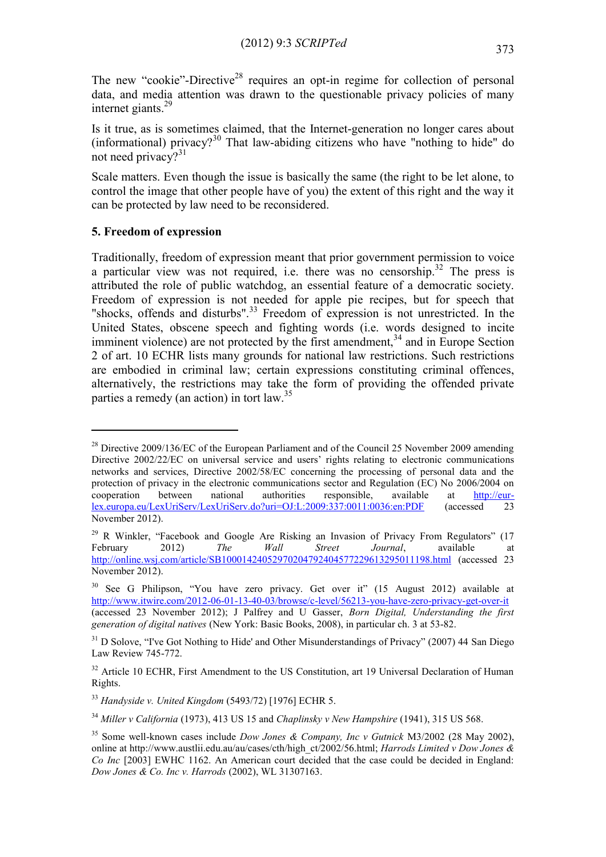The new "cookie"-Directive<sup>28</sup> requires an opt-in regime for collection of personal data, and media attention was drawn to the questionable privacy policies of many internet giants. 29

Is it true, as is sometimes claimed, that the Internet-generation no longer cares about (informational) privacy?<sup>30</sup> That law-abiding citizens who have "nothing to hide" do not need privacy?<sup>31</sup>

Scale matters. Even though the issue is basically the same (the right to be let alone, to control the image that other people have of you) the extent of this right and the way it can be protected by law need to be reconsidered.

#### **5. Freedom of expression**

1

Traditionally, freedom of expression meant that prior government permission to voice a particular view was not required, i.e. there was no censorship.<sup>32</sup> The press is attributed the role of public watchdog, an essential feature of a democratic society. Freedom of expression is not needed for apple pie recipes, but for speech that "shocks, offends and disturbs".<sup>33</sup> Freedom of expression is not unrestricted. In the United States, obscene speech and fighting words (i.e. words designed to incite imminent violence) are not protected by the first amendment,  $34$  and in Europe Section 2 of art. 10 ECHR lists many grounds for national law restrictions. Such restrictions are embodied in criminal law; certain expressions constituting criminal offences, alternatively, the restrictions may take the form of providing the offended private parties a remedy (an action) in tort law.<sup>35</sup>

 $^{28}$  Directive 2009/136/EC of the European Parliament and of the Council 25 November 2009 amending Directive 2002/22/EC on universal service and users' rights relating to electronic communications networks and services, Directive 2002/58/EC concerning the processing of personal data and the protection of privacy in the electronic communications sector and Regulation (EC) No 2006/2004 on cooperation between national authorities responsible, available at [http://eur](http://eur-lex.europa.eu/LexUriServ/LexUriServ.do?uri=OJ:L:2009:337:0011:0036:en:PDF)[lex.europa.eu/LexUriServ/LexUriServ.do?uri=OJ:L:2009:337:0011:0036:en:PDF](http://eur-lex.europa.eu/LexUriServ/LexUriServ.do?uri=OJ:L:2009:337:0011:0036:en:PDF) (accessed 23 November 2012).

<sup>&</sup>lt;sup>29</sup> R Winkler, "Facebook and Google Are Risking an Invasion of Privacy From Regulators" (17 February 2012) *The Wall Street Journal*, available at <http://online.wsj.com/article/SB10001424052970204792404577229613295011198.html> (accessed 23 November 2012).

<sup>&</sup>lt;sup>30</sup> See G Philipson, "You have zero privacy. Get over it" (15 August 2012) available at <http://www.itwire.com/2012-06-01-13-40-03/browse/c-level/56213-you-have-zero-privacy-get-over-it> (accessed 23 November 2012); J Palfrey and U Gasser, *Born Digital, Understanding the first generation of digital natives* (New York: Basic Books, 2008), in particular ch. 3 at 53-82.

<sup>&</sup>lt;sup>31</sup> D Solove, "I've Got Nothing to Hide' and Other Misunderstandings of Privacy" (2007) 44 San Diego Law Review 745-772.

 $32$  Article 10 ECHR. First Amendment to the US Constitution, art 19 Universal Declaration of Human Rights.

<sup>33</sup> *Handyside v. United Kingdom* (5493/72) [1976] ECHR 5.

<sup>34</sup> *Miller v California* (1973), 413 US 15 and *Chaplinsky v New Hampshire* (1941), 315 US 568.

<sup>35</sup> Some well-known cases include *Dow Jones & Company, Inc v Gutnick* M3/2002 (28 May 2002), online at http://www.austlii.edu.au/au/cases/cth/high\_ct/2002/56.html; *Harrods Limited v Dow Jones & Co Inc* [2003] EWHC 1162. An American court decided that the case could be decided in England: *Dow Jones & Co. Inc v. Harrods* (2002), WL 31307163.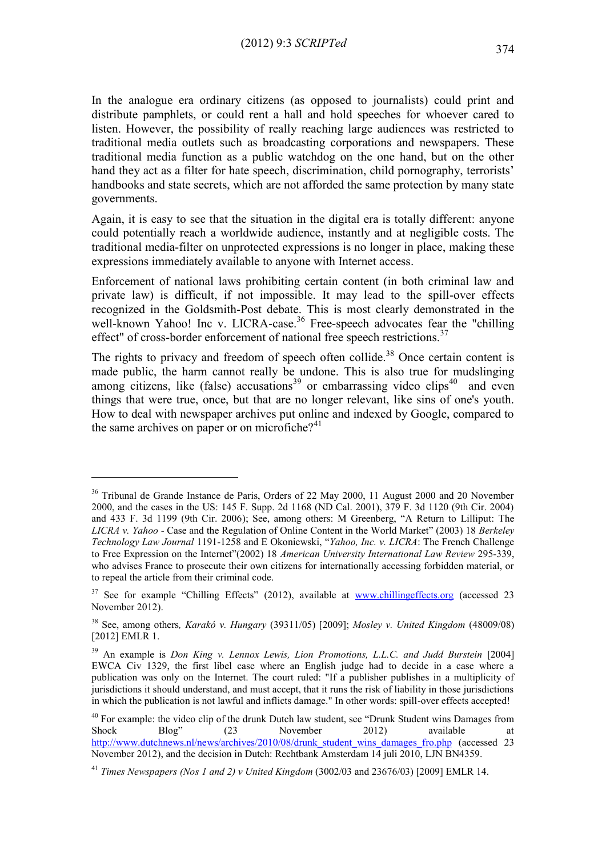In the analogue era ordinary citizens (as opposed to journalists) could print and distribute pamphlets, or could rent a hall and hold speeches for whoever cared to listen. However, the possibility of really reaching large audiences was restricted to traditional media outlets such as broadcasting corporations and newspapers. These traditional media function as a public watchdog on the one hand, but on the other hand they act as a filter for hate speech, discrimination, child pornography, terrorists' handbooks and state secrets, which are not afforded the same protection by many state governments.

Again, it is easy to see that the situation in the digital era is totally different: anyone could potentially reach a worldwide audience, instantly and at negligible costs. The traditional media-filter on unprotected expressions is no longer in place, making these expressions immediately available to anyone with Internet access.

Enforcement of national laws prohibiting certain content (in both criminal law and private law) is difficult, if not impossible. It may lead to the spill-over effects recognized in the Goldsmith-Post debate. This is most clearly demonstrated in the well-known Yahoo! Inc v. LICRA-case.<sup>36</sup> Free-speech advocates fear the "chilling" effect" of cross-border enforcement of national free speech restrictions.<sup>37</sup>

The rights to privacy and freedom of speech often collide.<sup>38</sup> Once certain content is made public, the harm cannot really be undone. This is also true for mudslinging among citizens, like (false) accusations<sup>39</sup> or embarrassing video clips<sup>40</sup> and even things that were true, once, but that are no longer relevant, like sins of one's youth. How to deal with newspaper archives put online and indexed by Google, compared to the same archives on paper or on microfiche? $4<sup>1</sup>$ 

1

<sup>&</sup>lt;sup>36</sup> Tribunal de Grande Instance de Paris, Orders of 22 May 2000, 11 August 2000 and 20 November 2000, and the cases in the US: 145 F. Supp. 2d 1168 (ND Cal. 2001), 379 F. 3d 1120 (9th Cir. 2004) and 433 F. 3d 1199 (9th Cir. 2006); See, among others: M Greenberg, "A Return to Lilliput: The *LICRA v. Yahoo* - Case and the Regulation of Online Content in the World Market" (2003) 18 *Berkeley Technology Law Journal* 1191-1258 and E Okoniewski, "*Yahoo, Inc. v. LICRA*: The French Challenge to Free Expression on the Internet"(2002) 18 *American University International Law Review* 295-339, who advises France to prosecute their own citizens for internationally accessing forbidden material, or to repeal the article from their criminal code.

 $37$  See for example "Chilling Effects" (2012), available at [www.chillingeffects.org](http://www.chillingeffects.org/) (accessed 23 November 2012).

<sup>38</sup> See, among others*, Karakó v. Hungary* (39311/05) [2009]; *Mosley v. United Kingdom* (48009/08) [2012] EMLR 1.

<sup>39</sup> An example is *Don King v. Lennox Lewis, Lion Promotions, L.L.C. and Judd Burstein* [2004] EWCA Civ 1329, the first libel case where an English judge had to decide in a case where a publication was only on the Internet. The court ruled: "If a publisher publishes in a multiplicity of jurisdictions it should understand, and must accept, that it runs the risk of liability in those jurisdictions in which the publication is not lawful and inflicts damage." In other words: spill-over effects accepted!

<sup>&</sup>lt;sup>40</sup> For example: the video clip of the drunk Dutch law student, see "Drunk Student wins Damages from Shock Blog" (23 November 2012) available at http://www.dutchnews.nl/news/archives/2010/08/drunk student wins damages fro.php (accessed 23 November 2012), and the decision in Dutch: Rechtbank Amsterdam 14 juli 2010, LJN BN4359.

<sup>41</sup> *Times Newspapers (Nos 1 and 2) v United Kingdom* (3002/03 and 23676/03) [2009] EMLR 14.